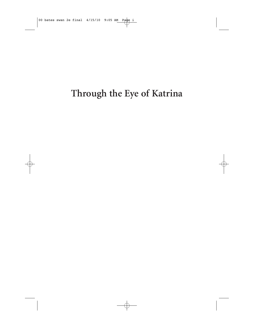# **Through the Eye of Katrina**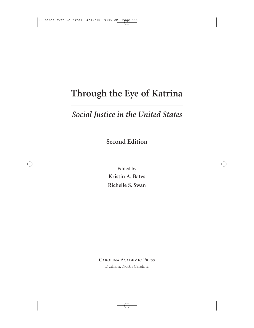# **Through the Eye of Katrina**

### *Social Justice in the United States*

**Second Edition**

Edited by **Kristin A. Bates Richelle S. Swan**

Carolina Academic Press Durham, North Carolina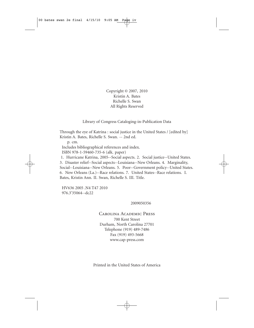Copyright © 2007, 2010 Kristin A. Bates Richelle S. Swan All Rights Reserved

#### Library of Congress Cataloging-in-Publication Data

Through the eye of Katrina : social justice in the United States / [edited by] Kristin A. Bates, Richelle S. Swan. -- 2nd ed.

p. cm. Includes bibliographical references and index. ISBN 978-1-59460-735-6 (alk. paper)

1. Hurricane Katrina, 2005--Social aspects. 2. Social justice--United States.

3. Disaster relief--Social aspects--Louisiana--New Orleans. 4. Marginality, Social--Louisiana--New Orleans. 5. Poor--Government policy--United States. 6. New Orleans (La.)--Race relations. 7. United States--Race relations. I. Bates, Kristin Ann. II. Swan, Richelle S. III. Title.

HV636 2005 .N4 T47 2010 976.3'35064--dc22

#### 2009050356

### Carolina Academic Press 700 Kent Street Durham, North Carolina 27701 Telephone (919) 489-7486 Fax (919) 493-5668 www.cap-press.com

Printed in the United States of America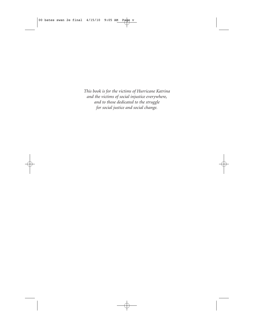*This book is for the victims of Hurricane Katrina and the victims of social injustice everywhere, and to those dedicated to the struggle for social justice and social change.*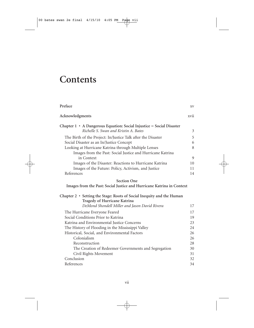# **Contents**

| Preface                                                                    | XV   |
|----------------------------------------------------------------------------|------|
| Acknowledgments                                                            | xvii |
| Chapter $1 \cdot A$ Dangerous Equation: Social Injustice = Social Disaster |      |
| Richelle S. Swan and Kristin A. Bates                                      | 3    |
| The Birth of the Project: In/Justice Talk after the Disaster               | 5    |
| Social Disaster as an In/Justice Concept                                   | 6    |
| Looking at Hurricane Katrina through Multiple Lenses                       | 8    |
| Images from the Past: Social Justice and Hurricane Katrina                 |      |
| in Context                                                                 | 9    |
| Images of the Disaster: Reactions to Hurricane Katrina                     | 10   |
| Images of the Future: Policy, Activism, and Justice                        | 11   |
| References                                                                 | 14   |
| <b>Section One</b>                                                         |      |
| Images from the Past: Social Justice and Hurricane Katrina in Context      |      |
| Chapter 2 · Setting the Stage: Roots of Social Inequity and the Human      |      |
| Tragedy of Hurricane Katrina                                               |      |
| DeMond Shondell Miller and Jason David Rivera                              | 17   |
| The Hurricane Everyone Feared                                              | 17   |
| Social Conditions Prior to Katrina                                         | 19   |
| Katrina and Environmental Justice Concerns                                 | 23   |
| The History of Flooding in the Mississippi Valley                          | 2.4  |
| Historical, Social, and Environmental Factors                              | 26   |
| Colonialism                                                                | 26   |
| Reconstruction                                                             | 28   |
| The Creation of Redeemer Governments and Segregation                       | 30   |
| Civil Rights Movement                                                      | 31   |
| Conclusion                                                                 | 32   |
| References                                                                 | 34   |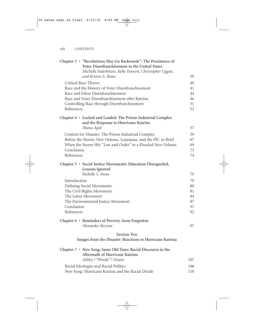| Chapter 3 • "Revolutions May Go Backwards": The Persistence of<br>Voter Disenfranchisement in the United States |     |
|-----------------------------------------------------------------------------------------------------------------|-----|
| Michelle Inderbitzin, Kelly Fawcett, Christopher Uggen,                                                         |     |
| and Kristin A. Bates                                                                                            | 39  |
| Critical Race Theory                                                                                            | 40  |
| Race and the History of Voter Disenfranchisement                                                                | 41  |
| Race and Felon Disenfranchisement                                                                               | 44  |
| Race and Voter Disenfranchisement after Katrina                                                                 | 46  |
| Controlling Race through Disenfranchisement                                                                     | 51  |
| References                                                                                                      | 52  |
| Chapter 4 · Locked and Loaded: The Prison Industrial Complex<br>and the Response to Hurricane Katrina           |     |
| Shana Agid                                                                                                      | 57  |
| Context for Disaster: The Prison Industrial Complex                                                             | 59  |
| Before the Storm: New Orleans, Louisiana, and the PIC in Brief                                                  | 67  |
| When the Storm Hit: "Law and Order" in a Flooded New Orleans                                                    | 69  |
| Conclusion                                                                                                      | 73  |
| References                                                                                                      | 74  |
| Chapter 5 · Social Justice Movements: Education Disregarded,<br><b>Lessons Ignored</b>                          |     |
| Richelle S. Swan                                                                                                | 79  |
| Introduction                                                                                                    | 79  |
| Defining Social Movements                                                                                       | 80  |
| The Civil Rights Movement                                                                                       | 81  |
| The Labor Movement                                                                                              | 84  |
| The Environmental Justice Movement                                                                              | 87  |
| Conclusion                                                                                                      | 91  |
| References                                                                                                      | 92  |
| Chapter 6 • Reminders of Poverty, Soon Forgotten                                                                |     |
| Alexander Keyssar                                                                                               | 97  |
| <b>Section Two</b>                                                                                              |     |
| Images from the Disaster: Reactions to Hurricane Katrina                                                        |     |
| Chapter 7 • New Song, Same Old Tune: Racial Discourse in the<br>Aftermath of Hurricane Katrina                  |     |
| Ashley ("Woody") Doane                                                                                          | 107 |
| Racial Ideologies and Racial Politics                                                                           | 108 |
| New Song: Hurricane Katrina and the Racial Divide                                                               | 110 |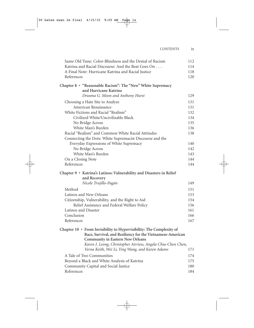| Same Old Tune: Color-Blindness and the Denial of Racism                                                                                                                | 112 |
|------------------------------------------------------------------------------------------------------------------------------------------------------------------------|-----|
| Katrina and Racial Discourse: And the Beat Goes On                                                                                                                     | 114 |
| A Final Note: Hurricane Katrina and Racial Justice                                                                                                                     | 118 |
| References                                                                                                                                                             | 120 |
| Chapter 8 · "Reasonable Racism": The "New" White Supremacy<br>and Hurricane Katrina<br>Dreama G. Moon and Anthony Hurst                                                | 129 |
|                                                                                                                                                                        |     |
| Choosing a Hate Site to Analyze<br>American Renaissance                                                                                                                | 131 |
| White Fictions and Racial "Realism"                                                                                                                                    | 131 |
|                                                                                                                                                                        | 132 |
| Civilized White/Uncivilizable Black                                                                                                                                    | 134 |
| No Bridge Across                                                                                                                                                       | 135 |
| White Man's Burden                                                                                                                                                     | 136 |
| Racial "Realism" and Common White Racial Attitudes                                                                                                                     | 138 |
| Connecting the Dots: White Supremacist Discourse and the                                                                                                               |     |
| Everyday Expressions of White Supremacy                                                                                                                                | 140 |
| No Bridge Across                                                                                                                                                       | 142 |
| White Man's Burden                                                                                                                                                     | 143 |
| On a Closing Note                                                                                                                                                      | 144 |
| References                                                                                                                                                             | 144 |
| Chapter 9 · Katrina's Latinos: Vulnerability and Disasters in Relief<br>and Recovery                                                                                   |     |
| Nicole Trujillo-Pagán                                                                                                                                                  | 149 |
| Method                                                                                                                                                                 | 151 |
| Latinos and New Orleans                                                                                                                                                | 153 |
| Citizenship, Vulnerability, and the Right to Aid                                                                                                                       | 154 |
| Relief Assistance and Federal Welfare Policy                                                                                                                           | 156 |
| Latinos and Disaster                                                                                                                                                   | 161 |
| Conclusion                                                                                                                                                             | 166 |
| References                                                                                                                                                             | 167 |
|                                                                                                                                                                        |     |
| Chapter 10 • From Invisibility to Hypervisibility: The Complexity of<br>Race, Survival, and Resiliency for the Vietnamese-American<br>Community in Eastern New Orleans |     |
| Karen J. Leong, Christopher Airriess, Angela Chia-Chen Chen,                                                                                                           |     |
| Verna Keith, Wei Li, Ying Wang, and Karen Adams                                                                                                                        | 171 |
| A Tale of Two Communities                                                                                                                                              | 174 |
| Beyond a Black and White Analysis of Katrina                                                                                                                           | 175 |
| Community Capital and Social Justice                                                                                                                                   | 180 |
| References                                                                                                                                                             | 184 |
|                                                                                                                                                                        |     |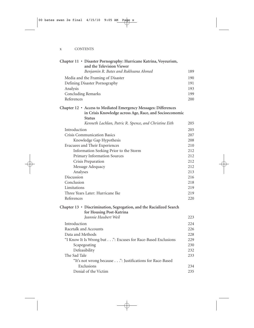|                                   | Chapter 11 · Disaster Pornography: Hurricane Katrina, Voyeurism,<br>and the Television Viewer   |     |
|-----------------------------------|-------------------------------------------------------------------------------------------------|-----|
|                                   | Benjamin R. Bates and Rukhsana Ahmed                                                            | 189 |
| Media and the Framing of Disaster |                                                                                                 | 190 |
|                                   | Defining Disaster Pornography                                                                   | 191 |
| Analysis                          |                                                                                                 | 193 |
|                                   | <b>Concluding Remarks</b>                                                                       | 199 |
| References                        |                                                                                                 | 200 |
|                                   | Chapter 12 · Access to Mediated Emergency Messages: Differences                                 |     |
|                                   | in Crisis Knowledge across Age, Race, and Socioeconomic<br><b>Status</b>                        |     |
|                                   | Kenneth Lachlan, Patric R. Spence, and Christine Eith                                           | 205 |
| Introduction                      |                                                                                                 | 205 |
|                                   | <b>Crisis Communication Basics</b>                                                              | 207 |
|                                   | Knowledge Gap Hypothesis                                                                        | 208 |
|                                   | Evacuees and Their Experiences                                                                  | 210 |
|                                   | Information Seeking Prior to the Storm                                                          | 212 |
|                                   | Primary Information Sources                                                                     | 212 |
|                                   | Crisis Preparation                                                                              | 212 |
|                                   | Message Adequacy                                                                                | 212 |
| Analyses                          |                                                                                                 | 213 |
| Discussion                        |                                                                                                 | 216 |
| Conclusion                        |                                                                                                 | 218 |
| Limitations                       |                                                                                                 | 219 |
|                                   | Three Years Later: Hurricane Ike                                                                | 219 |
| References                        |                                                                                                 | 220 |
|                                   | Chapter 13 · Discrimination, Segregation, and the Racialized Search<br>for Housing Post-Katrina |     |
|                                   | <i>Ieannie Haubert Weil</i>                                                                     | 223 |
| Introduction                      |                                                                                                 | 224 |
|                                   | Racetalk and Accounts                                                                           | 226 |
| Data and Methods                  |                                                                                                 | 228 |
|                                   | "I Know It Is Wrong but": Excuses for Race-Based Exclusions                                     | 229 |
|                                   | Scapegoating                                                                                    | 230 |
|                                   | Defeasibility                                                                                   | 232 |
| The Sad Tale                      |                                                                                                 | 233 |
|                                   | "It's not wrong because": Justifications for Race-Based                                         |     |
|                                   | Exclusions                                                                                      | 234 |
|                                   | Denial of the Victim                                                                            | 235 |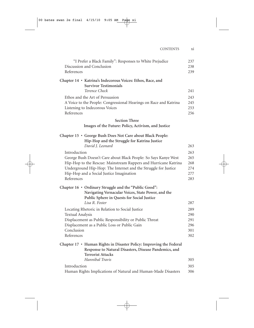|                         | "I Prefer a Black Family": Responses to White Prejudice                                                                                                  | 237        |
|-------------------------|----------------------------------------------------------------------------------------------------------------------------------------------------------|------------|
|                         | Discussion and Conclusion                                                                                                                                | 238        |
| References              |                                                                                                                                                          | 239        |
|                         | Chapter 14 · Katrina's Indecorous Voices: Ethos, Race, and<br><b>Survivor Testimonials</b>                                                               |            |
|                         | Terence Check                                                                                                                                            | 241        |
|                         | Ethos and the Art of Persuasion                                                                                                                          | 243        |
|                         | A Voice to the People: Congressional Hearings on Race and Katrina                                                                                        | 245        |
| References              | Listening to Indecorous Voices                                                                                                                           | 253<br>256 |
|                         | <b>Section Three</b>                                                                                                                                     |            |
|                         | Images of the Future: Policy, Activism, and Justice                                                                                                      |            |
|                         | Chapter 15 · George Bush Does Not Care about Black People:                                                                                               |            |
|                         | Hip-Hop and the Struggle for Katrina Justice                                                                                                             |            |
|                         | David J. Leonard                                                                                                                                         | 263        |
| Introduction            |                                                                                                                                                          | 263        |
|                         | George Bush Doesn't Care about Black People: So Says Kanye West                                                                                          | 265        |
|                         | Hip-Hop to the Rescue: Mainstream Rappers and Hurricane Katrina                                                                                          | 268        |
|                         | Underground Hip-Hop: The Internet and the Struggle for Justice                                                                                           | 274        |
|                         | Hip-Hop and a Social Justice Imagination                                                                                                                 | 277        |
| References              |                                                                                                                                                          | 283        |
|                         | Chapter 16 · Ordinary Struggle and the "Public Good":                                                                                                    |            |
|                         | Navigating Vernacular Voices, State Power, and the                                                                                                       |            |
|                         | Public Sphere in Quests for Social Justice                                                                                                               |            |
|                         | Lisa R. Foster                                                                                                                                           | 287        |
|                         | Locating Rhetoric in Relation to Social Justice                                                                                                          | 289        |
| <b>Textual Analysis</b> |                                                                                                                                                          | 290        |
|                         | Displacement as Public Responsibility or Public Threat                                                                                                   | 291        |
|                         | Displacement as a Public Loss or Public Gain                                                                                                             | 296        |
| Conclusion              |                                                                                                                                                          | 301        |
| References              |                                                                                                                                                          | 302        |
|                         | Chapter 17 • Human Rights in Disaster Policy: Improving the Federal<br>Response to Natural Disasters, Disease Pandemics, and<br><b>Terrorist Attacks</b> |            |
|                         | Hannibal Travis                                                                                                                                          | 305        |
| Introduction            |                                                                                                                                                          | 305        |
|                         | Human Rights Implications of Natural and Human-Made Disasters                                                                                            | 306        |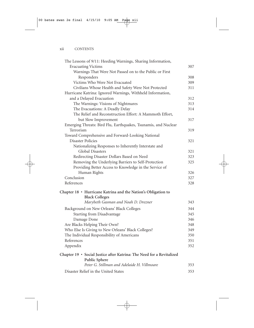|                          | The Lessons of 9/11: Heeding Warnings, Sharing Information,           |     |
|--------------------------|-----------------------------------------------------------------------|-----|
|                          | <b>Evacuating Victims</b>                                             | 307 |
|                          | Warnings That Were Not Passed on to the Public or First               |     |
|                          | Responders                                                            | 308 |
|                          | Victims Who Were Not Evacuated                                        | 309 |
|                          | Civilians Whose Health and Safety Were Not Protected                  | 311 |
|                          | Hurricane Katrina: Ignored Warnings, Withheld Information,            |     |
|                          | and a Delayed Evacuation                                              | 312 |
|                          | The Warnings: Visions of Nightmares                                   | 313 |
|                          | The Evacuations: A Deadly Delay                                       | 314 |
|                          | The Relief and Reconstruction Effort: A Mammoth Effort,               |     |
|                          | but Slow Improvement                                                  | 317 |
|                          | Emerging Threats: Bird Flu, Earthquakes, Tsunamis, and Nuclear        |     |
| Terrorism                |                                                                       | 319 |
|                          | Toward Comprehensive and Forward-Looking National                     |     |
| <b>Disaster Policies</b> |                                                                       | 321 |
|                          | Nationalizing Responses to Inherently Interstate and                  |     |
|                          | Global Disasters                                                      | 321 |
|                          | Redirecting Disaster Dollars Based on Need                            | 323 |
|                          | Removing the Underlying Barriers to Self-Protection                   | 325 |
|                          | Providing Better Access to Knowledge in the Service of                |     |
|                          | Human Rights                                                          | 326 |
| Conclusion               |                                                                       | 327 |
| References               |                                                                       | 328 |
|                          | Chapter 18 · Hurricane Katrina and the Nation's Obligation to         |     |
|                          | <b>Black Colleges</b>                                                 |     |
|                          | Marybeth Gasman and Noah D. Drezner                                   | 343 |
|                          | Background on New Orleans' Black Colleges                             | 344 |
|                          | <b>Starting from Disadvantage</b>                                     | 345 |
|                          | Damage Done                                                           | 346 |
|                          | Are Blacks Helping Their Own?                                         | 348 |
|                          | Who Else Is Giving to New Orleans' Black Colleges?                    | 349 |
|                          | The Individual Responsibility of Americans                            | 350 |
| References               |                                                                       | 351 |
| Appendix                 |                                                                       | 352 |
|                          | Chapter 19 · Social Justice after Katrina: The Need for a Revitalized |     |
|                          | <b>Public Sphere</b><br>Peter G. Stillman and Adelaide H. Villmoare   | 353 |
|                          | Disaster Relief in the United States                                  | 353 |
|                          |                                                                       |     |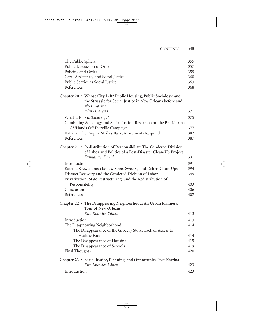| The Public Sphere                                                                                                                                  | 355 |
|----------------------------------------------------------------------------------------------------------------------------------------------------|-----|
| Public Discussion of Order                                                                                                                         | 357 |
| Policing and Order                                                                                                                                 | 359 |
| Care, Assistance, and Social Justice                                                                                                               | 360 |
| Public Service as Social Justice                                                                                                                   | 363 |
| References                                                                                                                                         | 368 |
| Chapter 20 • Whose City Is It? Public Housing, Public Sociology, and<br>the Struggle for Social Justice in New Orleans before and<br>after Katrina |     |
| John D. Arena                                                                                                                                      | 371 |
| What Is Public Sociology?                                                                                                                          | 375 |
| Combining Sociology and Social Justice: Research and the Pre-Katrina                                                                               |     |
| C3/Hands Off Iberville Campaign                                                                                                                    | 377 |
| Katrina: The Empire Strikes Back; Movements Respond                                                                                                | 382 |
| References                                                                                                                                         | 387 |
| Chapter 21 • Redistribution of Responsibility: The Gendered Division<br>of Labor and Politics of a Post-Disaster Clean-Up Project                  |     |
| Emmanuel David                                                                                                                                     | 391 |
| Introduction                                                                                                                                       | 391 |
| Katrina Krewe: Trash Issues, Street Sweeps, and Debris Clean-Ups                                                                                   | 394 |
| Disaster Recovery and the Gendered Division of Labor                                                                                               | 399 |
| Privatization, State Restructuring, and the Redistribution of                                                                                      |     |
| Responsibility                                                                                                                                     | 403 |
| Conclusion                                                                                                                                         | 406 |
| References                                                                                                                                         | 407 |
| Chapter 22 • The Disappearing Neighborhood: An Urban Planner's<br><b>Tour of New Orleans</b>                                                       |     |
| Kim Knowles-Yánez                                                                                                                                  | 413 |
| Introduction                                                                                                                                       | 413 |
| The Disappearing Neighborhood                                                                                                                      | 414 |
| The Disappearance of the Grocery Store: Lack of Access to                                                                                          |     |
| Healthy Food                                                                                                                                       | 414 |
| The Disappearance of Housing                                                                                                                       | 415 |
| The Disappearance of Schools                                                                                                                       | 419 |
| <b>Final Thoughts</b>                                                                                                                              | 420 |
| Chapter 23 · Social Justice, Planning, and Opportunity Post-Katrina                                                                                |     |
| Kim Knowles-Yánez                                                                                                                                  | 423 |
| Introduction                                                                                                                                       | 423 |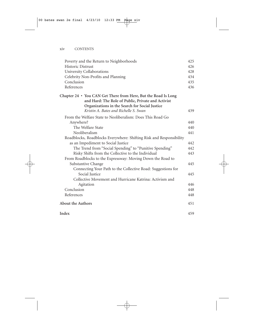| Poverty and the Return to Neighborhoods                                                                                                                                | 425 |
|------------------------------------------------------------------------------------------------------------------------------------------------------------------------|-----|
| <b>Historic Distrust</b>                                                                                                                                               | 426 |
| University Collaborations                                                                                                                                              | 428 |
| Celebrity Non-Profits and Planning                                                                                                                                     | 434 |
| Conclusion                                                                                                                                                             | 435 |
| References                                                                                                                                                             | 436 |
| Chapter 24 • You CAN Get There from Here, But the Road Is Long<br>and Hard: The Role of Public, Private and Activist<br>Organizations in the Search for Social Justice |     |
| Kristin A. Bates and Richelle S. Swan                                                                                                                                  | 439 |
| From the Welfare State to Neoliberalism: Does This Road Go                                                                                                             |     |
| Anywhere?                                                                                                                                                              | 440 |
| The Welfare State                                                                                                                                                      | 440 |
| Neoliberalism                                                                                                                                                          | 441 |
| Roadblocks, Roadblocks Everywhere: Shifting Risk and Responsibility                                                                                                    |     |
| as an Impediment to Social Justice                                                                                                                                     | 442 |
| The Trend from "Social Spending" to "Punitive Spending"                                                                                                                | 442 |
| Risky Shifts from the Collective to the Individual                                                                                                                     | 443 |
| From Roadblocks to the Expressway: Moving Down the Road to                                                                                                             |     |
| Substantive Change                                                                                                                                                     | 445 |
| Connecting Your Path to the Collective Road: Suggestions for                                                                                                           |     |
| Social Justice                                                                                                                                                         | 445 |
| Collective Movement and Hurricane Katrina: Activism and                                                                                                                |     |
| Agitation                                                                                                                                                              | 446 |
| Conclusion                                                                                                                                                             | 448 |
| References                                                                                                                                                             | 448 |
| About the Authors                                                                                                                                                      | 451 |
| Index                                                                                                                                                                  | 459 |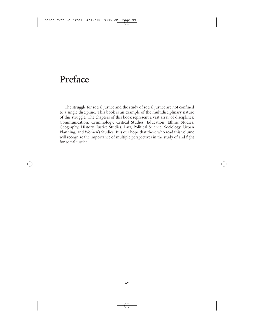## **Preface**

The struggle for social justice and the study of social justice are not confined to a single discipline. This book is an example of the multidisciplinary nature of this struggle. The chapters of this book represent a vast array of disciplines: Communication, Criminology, Critical Studies, Education, Ethnic Studies, Geography, History, Justice Studies, Law, Political Science, Sociology, Urban Planning, and Women's Studies. It is our hope that those who read this volume will recognize the importance of multiple perspectives in the study of and fight for social justice.